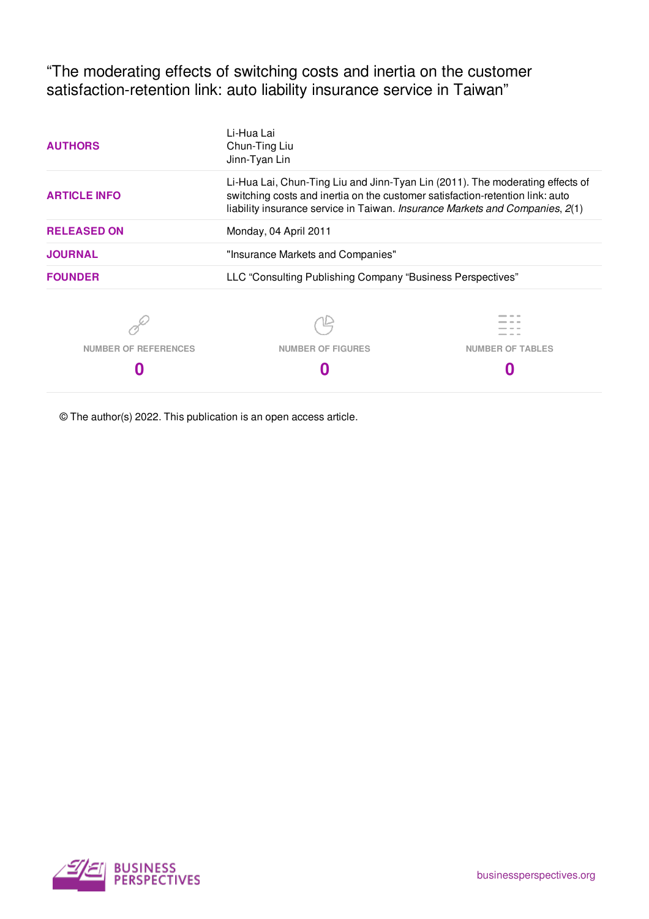"The moderating effects of switching costs and inertia on the customer satisfaction-retention link: auto liability insurance service in Taiwan"

| <b>AUTHORS</b>              | Li-Hua Lai<br>Chun-Ting Liu<br>Jinn-Tyan Lin                                                                                                                                                                                                   |                         |  |  |  |  |
|-----------------------------|------------------------------------------------------------------------------------------------------------------------------------------------------------------------------------------------------------------------------------------------|-------------------------|--|--|--|--|
| <b>ARTICLE INFO</b>         | Li-Hua Lai, Chun-Ting Liu and Jinn-Tyan Lin (2011). The moderating effects of<br>switching costs and inertia on the customer satisfaction-retention link: auto<br>liability insurance service in Taiwan. Insurance Markets and Companies, 2(1) |                         |  |  |  |  |
| <b>RELEASED ON</b>          | Monday, 04 April 2011                                                                                                                                                                                                                          |                         |  |  |  |  |
| <b>JOURNAL</b>              | "Insurance Markets and Companies"                                                                                                                                                                                                              |                         |  |  |  |  |
| <b>FOUNDER</b>              | LLC "Consulting Publishing Company "Business Perspectives"                                                                                                                                                                                     |                         |  |  |  |  |
|                             |                                                                                                                                                                                                                                                |                         |  |  |  |  |
| <b>NUMBER OF REFERENCES</b> | <b>NUMBER OF FIGURES</b>                                                                                                                                                                                                                       | <b>NUMBER OF TABLES</b> |  |  |  |  |
|                             |                                                                                                                                                                                                                                                |                         |  |  |  |  |

© The author(s) 2022. This publication is an open access article.

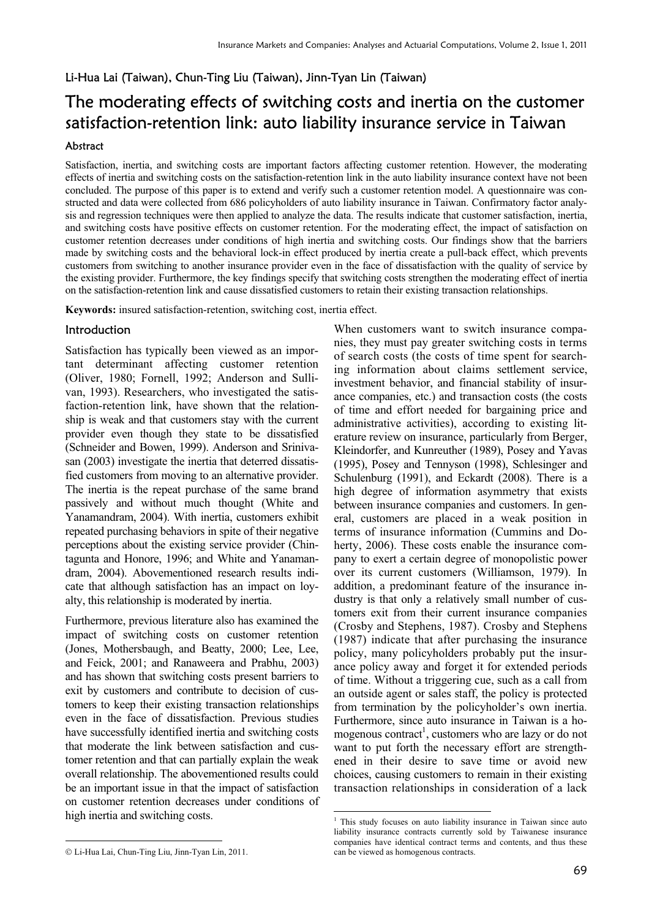# Li-Hua Lai (Taiwan), Chun-Ting Liu (Taiwan), Jinn-Tyan Lin (Taiwan)

# The moderating effects of switching costs and inertia on the customer satisfaction-retention link: auto liability insurance service in Taiwan

#### Abstract

Satisfaction, inertia, and switching costs are important factors affecting customer retention. However, the moderating effects of inertia and switching costs on the satisfaction-retention link in the auto liability insurance context have not been concluded. The purpose of this paper is to extend and verify such a customer retention model. A questionnaire was constructed and data were collected from 686 policyholders of auto liability insurance in Taiwan. Confirmatory factor analysis and regression techniques were then applied to analyze the data. The results indicate that customer satisfaction, inertia, and switching costs have positive effects on customer retention. For the moderating effect, the impact of satisfaction on customer retention decreases under conditions of high inertia and switching costs. Our findings show that the barriers made by switching costs and the behavioral lock-in effect produced by inertia create a pull-back effect, which prevents customers from switching to another insurance provider even in the face of dissatisfaction with the quality of service by the existing provider. Furthermore, the key findings specify that switching costs strengthen the moderating effect of inertia on the satisfaction-retention link and cause dissatisfied customers to retain their existing transaction relationships.

**Keywords:** insured satisfaction-retention, switching cost, inertia effect.

## Introduction

Satisfaction has typically been viewed as an important determinant affecting customer retention (Oliver, 1980; Fornell, 1992; Anderson and Sullivan, 1993). Researchers, who investigated the satisfaction-retention link, have shown that the relationship is weak and that customers stay with the current provider even though they state to be dissatisfied (Schneider and Bowen, 1999). Anderson and Srinivasan (2003) investigate the inertia that deterred dissatisfied customers from moving to an alternative provider. The inertia is the repeat purchase of the same brand passively and without much thought (White and Yanamandram, 2004). With inertia, customers exhibit repeated purchasing behaviors in spite of their negative perceptions about the existing service provider (Chintagunta and Honore, 1996; and White and Yanamandram, 2004). Abovementioned research results indicate that although satisfaction has an impact on loyalty, this relationship is moderated by inertia.

Furthermore, previous literature also has examined the impact of switching costs on customer retention (Jones, Mothersbaugh, and Beatty, 2000; Lee, Lee, and Feick, 2001; and Ranaweera and Prabhu, 2003) and has shown that switching costs present barriers to exit by customers and contribute to decision of customers to keep their existing transaction relationships even in the face of dissatisfaction. Previous studies have successfully identified inertia and switching costs that moderate the link between satisfaction and customer retention and that can partially explain the weak overall relationship. The abovementioned results could be an important issue in that the impact of satisfaction on customer retention decreases under conditions of high inertia and switching costs.

When customers want to switch insurance companies, they must pay greater switching costs in terms of search costs (the costs of time spent for searching information about claims settlement service, investment behavior, and financial stability of insurance companies, etc.) and transaction costs (the costs of time and effort needed for bargaining price and administrative activities), according to existing literature review on insurance, particularly from Berger,

-

Kleindorfer, and Kunreuther (1989), Posey and Yavas (1995), Posey and Tennyson (1998), Schlesinger and Schulenburg (1991), and Eckardt (2008). There is a high degree of information asymmetry that exists between insurance companies and customers. In general, customers are placed in a weak position in terms of insurance information (Cummins and Doherty, 2006). These costs enable the insurance company to exert a certain degree of monopolistic power over its current customers (Williamson, 1979). In addition, a predominant feature of the insurance industry is that only a relatively small number of customers exit from their current insurance companies (Crosby and Stephens, 1987). Crosby and Stephens (1987) indicate that after purchasing the insurance policy, many policyholders probably put the insurance policy away and forget it for extended periods of time. Without a triggering cue, such as a call from an outside agent or sales staff, the policy is protected from termination by the policyholder's own inertia. Furthermore, since auto insurance in Taiwan is a homogenous contract<sup>1</sup>, customers who are lazy or do not want to put forth the necessary effort are strengthened in their desire to save time or avoid new choices, causing customers to remain in their existing transaction relationships in consideration of a lack

<sup>-</sup>1 This study focuses on auto liability insurance in Taiwan since auto liability insurance contracts currently sold by Taiwanese insurance companies have identical contract terms and contents, and thus these can be viewed as homogenous contracts.

Li-Hua Lai, Chun-Ting Liu, Jinn-Tyan Lin, 2011.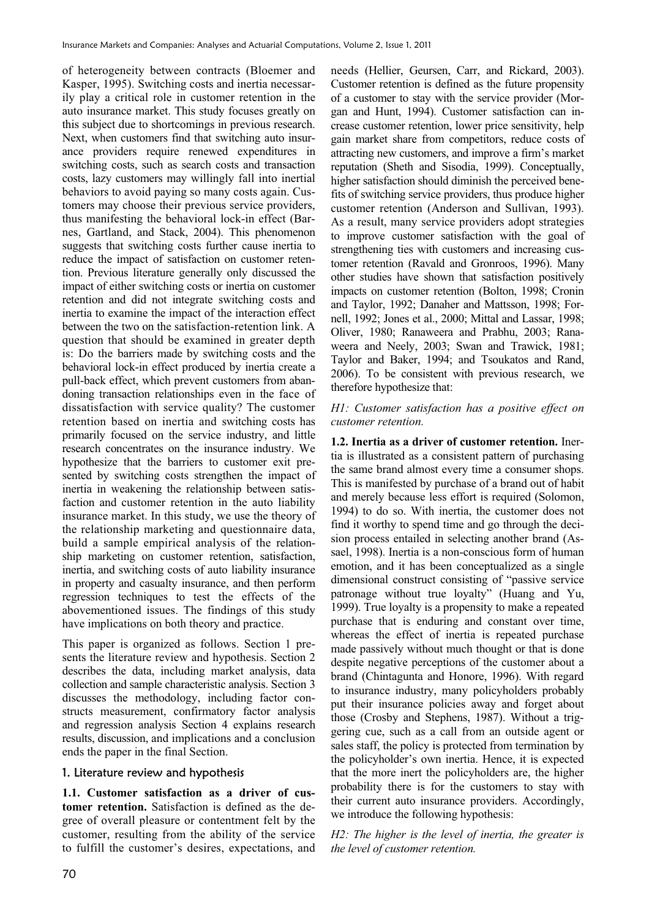of heterogeneity between contracts (Bloemer and Kasper, 1995). Switching costs and inertia necessarily play a critical role in customer retention in the auto insurance market. This study focuses greatly on this subject due to shortcomings in previous research. Next, when customers find that switching auto insurance providers require renewed expenditures in switching costs, such as search costs and transaction costs, lazy customers may willingly fall into inertial behaviors to avoid paying so many costs again. Customers may choose their previous service providers, thus manifesting the behavioral lock-in effect (Barnes, Gartland, and Stack, 2004). This phenomenon suggests that switching costs further cause inertia to reduce the impact of satisfaction on customer retention. Previous literature generally only discussed the impact of either switching costs or inertia on customer retention and did not integrate switching costs and inertia to examine the impact of the interaction effect between the two on the satisfaction-retention link. A question that should be examined in greater depth is: Do the barriers made by switching costs and the behavioral lock-in effect produced by inertia create a pull-back effect, which prevent customers from abandoning transaction relationships even in the face of dissatisfaction with service quality? The customer retention based on inertia and switching costs has primarily focused on the service industry, and little research concentrates on the insurance industry. We hypothesize that the barriers to customer exit presented by switching costs strengthen the impact of inertia in weakening the relationship between satisfaction and customer retention in the auto liability insurance market. In this study, we use the theory of the relationship marketing and questionnaire data, build a sample empirical analysis of the relationship marketing on customer retention, satisfaction, inertia, and switching costs of auto liability insurance in property and casualty insurance, and then perform regression techniques to test the effects of the abovementioned issues. The findings of this study have implications on both theory and practice.

This paper is organized as follows. Section 1 presents the literature review and hypothesis. Section 2 describes the data, including market analysis, data collection and sample characteristic analysis. Section 3 discusses the methodology, including factor constructs measurement, confirmatory factor analysis and regression analysis Section 4 explains research results, discussion, and implications and a conclusion ends the paper in the final Section.

#### 1. Literature review and hypothesis

**1.1. Customer satisfaction as a driver of customer retention.** Satisfaction is defined as the degree of overall pleasure or contentment felt by the customer, resulting from the ability of the service to fulfill the customer's desires, expectations, and needs (Hellier, Geursen, Carr, and Rickard, 2003). Customer retention is defined as the future propensity of a customer to stay with the service provider (Morgan and Hunt, 1994). Customer satisfaction can increase customer retention, lower price sensitivity, help gain market share from competitors, reduce costs of attracting new customers, and improve a firm's market reputation (Sheth and Sisodia, 1999). Conceptually, higher satisfaction should diminish the perceived benefits of switching service providers, thus produce higher customer retention (Anderson and Sullivan, 1993). As a result, many service providers adopt strategies to improve customer satisfaction with the goal of strengthening ties with customers and increasing customer retention (Ravald and Gronroos, 1996). Many other studies have shown that satisfaction positively impacts on customer retention (Bolton, 1998; Cronin and Taylor, 1992; Danaher and Mattsson, 1998; Fornell, 1992; Jones et al., 2000; Mittal and Lassar, 1998; Oliver, 1980; Ranaweera and Prabhu, 2003; Ranaweera and Neely, 2003; Swan and Trawick, 1981; Taylor and Baker, 1994; and Tsoukatos and Rand, 2006). To be consistent with previous research, we therefore hypothesize that:

#### *H1: Customer satisfaction has a positive effect on customer retention.*

**1.2. Inertia as a driver of customer retention.** Inertia is illustrated as a consistent pattern of purchasing the same brand almost every time a consumer shops. This is manifested by purchase of a brand out of habit and merely because less effort is required (Solomon, 1994) to do so. With inertia, the customer does not find it worthy to spend time and go through the decision process entailed in selecting another brand (Assael, 1998). Inertia is a non-conscious form of human emotion, and it has been conceptualized as a single dimensional construct consisting of "passive service patronage without true loyalty" (Huang and Yu, 1999). True loyalty is a propensity to make a repeated purchase that is enduring and constant over time, whereas the effect of inertia is repeated purchase made passively without much thought or that is done despite negative perceptions of the customer about a brand (Chintagunta and Honore, 1996). With regard to insurance industry, many policyholders probably put their insurance policies away and forget about those (Crosby and Stephens, 1987). Without a triggering cue, such as a call from an outside agent or sales staff, the policy is protected from termination by the policyholder's own inertia. Hence, it is expected that the more inert the policyholders are, the higher probability there is for the customers to stay with their current auto insurance providers. Accordingly, we introduce the following hypothesis:

*H2: The higher is the level of inertia, the greater is the level of customer retention.*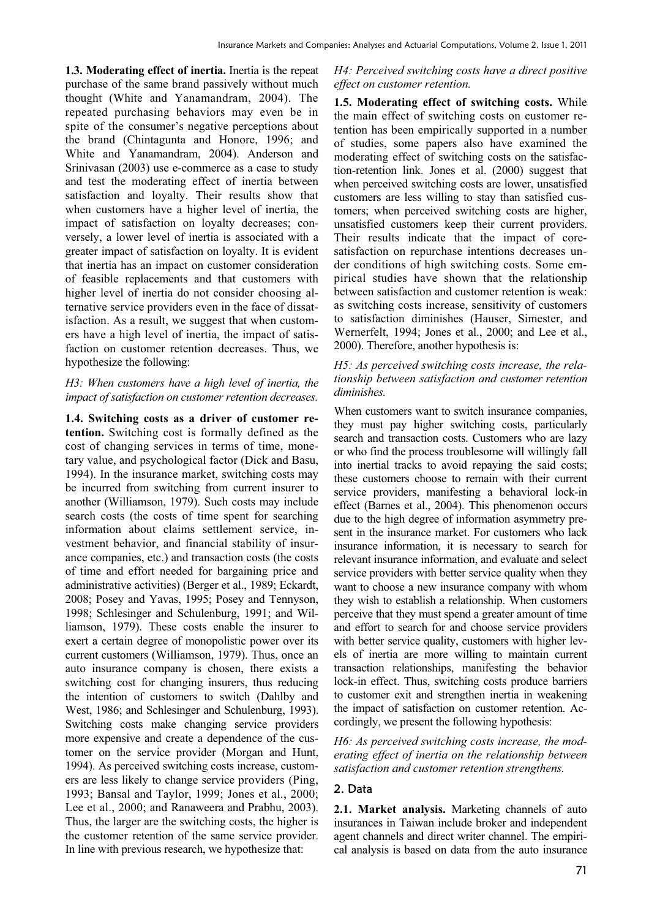**1.3. Moderating effect of inertia.** Inertia is the repeat purchase of the same brand passively without much thought (White and Yanamandram, 2004). The repeated purchasing behaviors may even be in spite of the consumer's negative perceptions about the brand (Chintagunta and Honore, 1996; and White and Yanamandram, 2004). Anderson and Srinivasan (2003) use e-commerce as a case to study and test the moderating effect of inertia between satisfaction and loyalty. Their results show that when customers have a higher level of inertia, the impact of satisfaction on loyalty decreases; conversely, a lower level of inertia is associated with a greater impact of satisfaction on loyalty. It is evident that inertia has an impact on customer consideration of feasible replacements and that customers with higher level of inertia do not consider choosing alternative service providers even in the face of dissatisfaction. As a result, we suggest that when customers have a high level of inertia, the impact of satisfaction on customer retention decreases. Thus, we hypothesize the following:

## *H3: When customers have a high level of inertia, the impact of satisfaction on customer retention decreases.*

**1.4. Switching costs as a driver of customer retention.** Switching cost is formally defined as the cost of changing services in terms of time, monetary value, and psychological factor (Dick and Basu, 1994). In the insurance market, switching costs may be incurred from switching from current insurer to another (Williamson, 1979). Such costs may include search costs (the costs of time spent for searching information about claims settlement service, investment behavior, and financial stability of insurance companies, etc.) and transaction costs (the costs of time and effort needed for bargaining price and administrative activities) (Berger et al., 1989; Eckardt, 2008; Posey and Yavas, 1995; Posey and Tennyson, 1998; Schlesinger and Schulenburg, 1991; and Williamson, 1979). These costs enable the insurer to exert a certain degree of monopolistic power over its current customers (Williamson, 1979). Thus, once an auto insurance company is chosen, there exists a switching cost for changing insurers, thus reducing the intention of customers to switch (Dahlby and West, 1986; and Schlesinger and Schulenburg, 1993). Switching costs make changing service providers more expensive and create a dependence of the customer on the service provider (Morgan and Hunt, 1994). As perceived switching costs increase, customers are less likely to change service providers (Ping, 1993; Bansal and Taylor, 1999; Jones et al., 2000; Lee et al., 2000; and Ranaweera and Prabhu, 2003). Thus, the larger are the switching costs, the higher is the customer retention of the same service provider. In line with previous research, we hypothesize that:

#### *H4: Perceived switching costs have a direct positive effect on customer retention.*

**1.5. Moderating effect of switching costs.** While the main effect of switching costs on customer retention has been empirically supported in a number of studies, some papers also have examined the moderating effect of switching costs on the satisfaction-retention link. Jones et al. (2000) suggest that when perceived switching costs are lower, unsatisfied customers are less willing to stay than satisfied customers; when perceived switching costs are higher, unsatisfied customers keep their current providers. Their results indicate that the impact of coresatisfaction on repurchase intentions decreases under conditions of high switching costs. Some empirical studies have shown that the relationship between satisfaction and customer retention is weak: as switching costs increase, sensitivity of customers to satisfaction diminishes (Hauser, Simester, and Wernerfelt, 1994; Jones et al., 2000; and Lee et al., 2000). Therefore, another hypothesis is:

#### *H5: As perceived switching costs increase, the relationship between satisfaction and customer retention diminishes.*

When customers want to switch insurance companies, they must pay higher switching costs, particularly search and transaction costs. Customers who are lazy or who find the process troublesome will willingly fall into inertial tracks to avoid repaying the said costs; these customers choose to remain with their current service providers, manifesting a behavioral lock-in effect (Barnes et al., 2004). This phenomenon occurs due to the high degree of information asymmetry present in the insurance market. For customers who lack insurance information, it is necessary to search for relevant insurance information, and evaluate and select service providers with better service quality when they want to choose a new insurance company with whom they wish to establish a relationship. When customers perceive that they must spend a greater amount of time and effort to search for and choose service providers with better service quality, customers with higher levels of inertia are more willing to maintain current transaction relationships, manifesting the behavior lock-in effect. Thus, switching costs produce barriers to customer exit and strengthen inertia in weakening the impact of satisfaction on customer retention. Accordingly, we present the following hypothesis:

*H6: As perceived switching costs increase, the moderating effect of inertia on the relationship between satisfaction and customer retention strengthens.* 

## 2. Data

**2.1. Market analysis.** Marketing channels of auto insurances in Taiwan include broker and independent agent channels and direct writer channel. The empirical analysis is based on data from the auto insurance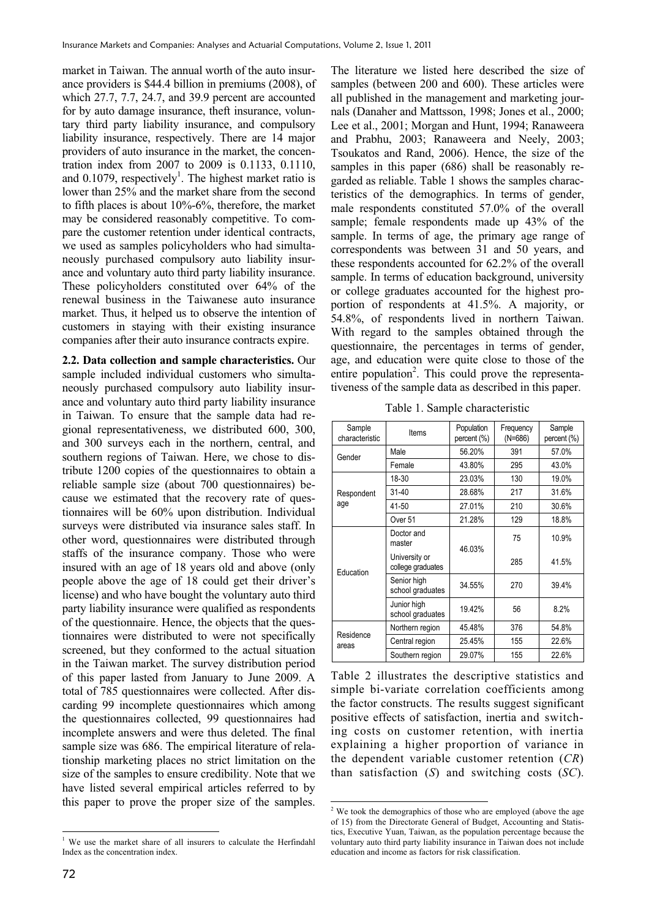market in Taiwan. The annual worth of the auto insurance providers is \$44.4 billion in premiums (2008), of which 27.7, 7.7, 24.7, and 39.9 percent are accounted for by auto damage insurance, theft insurance, voluntary third party liability insurance, and compulsory liability insurance, respectively. There are 14 major providers of auto insurance in the market, the concentration index from 2007 to 2009 is 0.1133, 0.1110, and  $0.1079$ , respectively<sup>1</sup>. The highest market ratio is lower than 25% and the market share from the second to fifth places is about 10%-6%, therefore, the market may be considered reasonably competitive. To compare the customer retention under identical contracts, we used as samples policyholders who had simultaneously purchased compulsory auto liability insurance and voluntary auto third party liability insurance. These policyholders constituted over 64% of the renewal business in the Taiwanese auto insurance market. Thus, it helped us to observe the intention of customers in staying with their existing insurance companies after their auto insurance contracts expire.

**2.2. Data collection and sample characteristics.** Our sample included individual customers who simultaneously purchased compulsory auto liability insurance and voluntary auto third party liability insurance in Taiwan. To ensure that the sample data had regional representativeness, we distributed 600, 300, and 300 surveys each in the northern, central, and southern regions of Taiwan. Here, we chose to distribute 1200 copies of the questionnaires to obtain a reliable sample size (about 700 questionnaires) because we estimated that the recovery rate of questionnaires will be 60% upon distribution. Individual surveys were distributed via insurance sales staff. In other word, questionnaires were distributed through staffs of the insurance company. Those who were insured with an age of 18 years old and above (only people above the age of 18 could get their driver's license) and who have bought the voluntary auto third party liability insurance were qualified as respondents of the questionnaire. Hence, the objects that the questionnaires were distributed to were not specifically screened, but they conformed to the actual situation in the Taiwan market. The survey distribution period of this paper lasted from January to June 2009. A total of 785 questionnaires were collected. After discarding 99 incomplete questionnaires which among the questionnaires collected, 99 questionnaires had incomplete answers and were thus deleted. The final sample size was 686. The empirical literature of relationship marketing places no strict limitation on the size of the samples to ensure credibility. Note that we have listed several empirical articles referred to by this paper to prove the proper size of the samples.

The literature we listed here described the size of samples (between 200 and 600). These articles were all published in the management and marketing journals (Danaher and Mattsson, 1998; Jones et al., 2000; Lee et al., 2001; Morgan and Hunt, 1994; Ranaweera and Prabhu, 2003; Ranaweera and Neely, 2003; Tsoukatos and Rand, 2006). Hence, the size of the samples in this paper (686) shall be reasonably regarded as reliable. Table 1 shows the samples characteristics of the demographics. In terms of gender, male respondents constituted 57.0% of the overall sample; female respondents made up 43% of the sample. In terms of age, the primary age range of correspondents was between 31 and 50 years, and these respondents accounted for 62.2% of the overall sample. In terms of education background, university or college graduates accounted for the highest proportion of respondents at 41.5%. A majority, or 54.8%, of respondents lived in northern Taiwan. With regard to the samples obtained through the questionnaire, the percentages in terms of gender, age, and education were quite close to those of the entire population<sup>2</sup>. This could prove the representativeness of the sample data as described in this paper.

Table 1. Sample characteristic

| Sample<br>characteristic | Items                              | Population<br>percent (%) | Frequency<br>$(N=686)$ | Sample<br>percent (%) |  |
|--------------------------|------------------------------------|---------------------------|------------------------|-----------------------|--|
| Gender                   | Male                               | 56.20%                    | 391                    | 57.0%                 |  |
|                          | Female                             | 43.80%                    | 295                    | 43.0%                 |  |
|                          | 18-30                              | 23.03%                    | 130                    | 19.0%                 |  |
| Respondent               | $31 - 40$                          | 28.68%                    | 217                    | 31.6%                 |  |
| age                      | 41-50                              | 27.01%                    | 210                    | 30.6%                 |  |
|                          | Over 51                            | 21.28%                    | 129                    | 18.8%                 |  |
| Education                | Doctor and<br>master               | 46.03%                    | 75                     | 10.9%                 |  |
|                          | University or<br>college graduates |                           | 285                    | 41.5%                 |  |
|                          | Senior high<br>school graduates    | 34.55%                    | 270                    | 39.4%                 |  |
|                          | Junior high<br>school graduates    | 19.42%                    | 56                     | 8.2%                  |  |
|                          | Northern region                    | 45.48%                    | 376                    | 54.8%                 |  |
| Residence<br>areas       | Central region                     | 25.45%                    | 155                    | 22.6%                 |  |
|                          | Southern region                    | 29.07%                    | 155                    | 22.6%                 |  |

Table 2 illustrates the descriptive statistics and simple bi-variate correlation coefficients among the factor constructs. The results suggest significant positive effects of satisfaction, inertia and switching costs on customer retention, with inertia explaining a higher proportion of variance in the dependent variable customer retention (*CR*) than satisfaction (*S*) and switching costs (*SC*).

**EXECUTE:**<br><sup>1</sup> We use the market share of all insurers to calculate the Herfindahl Index as the concentration index.

 2 We took the demographics of those who are employed (above the age of 15) from the Directorate General of Budget, Accounting and Statistics, Executive Yuan, Taiwan, as the population percentage because the voluntary auto third party liability insurance in Taiwan does not include education and income as factors for risk classification.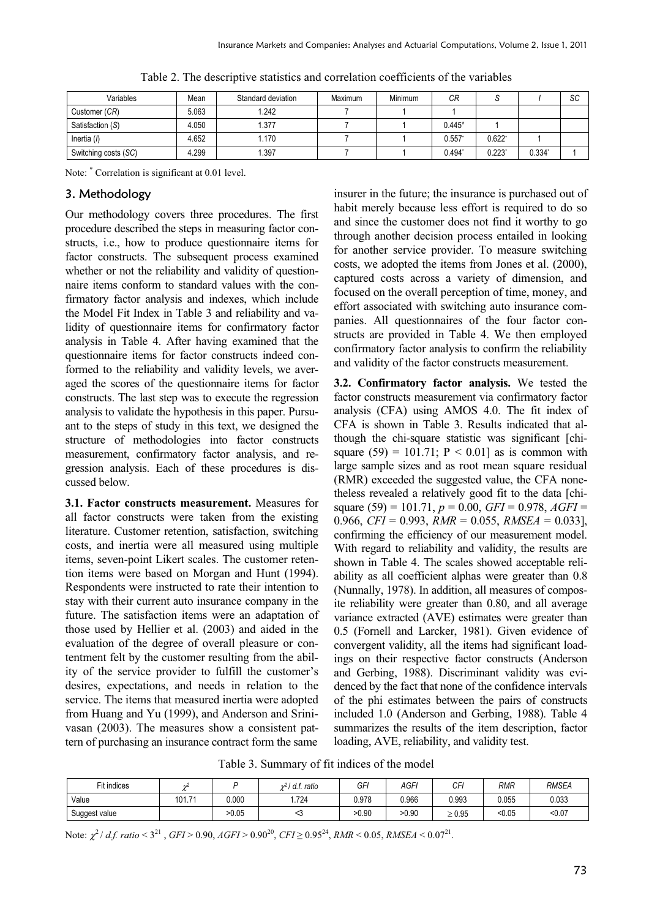| Variables            | Mean  | Standard deviation | Maximum | Minimum | СR                   | ں        |          | SC |
|----------------------|-------|--------------------|---------|---------|----------------------|----------|----------|----|
| Customer (CR)        | 5.063 | 1.242              |         |         |                      |          |          |    |
| Satisfaction (S)     | 4.050 | .377               |         |         | $0.445*$             |          |          |    |
| Inertia (I)          | 4.652 | 1.170              |         |         | $0.557$ <sup>*</sup> | $0.622*$ |          |    |
| Switching costs (SC) | 4.299 | .397               |         |         | 0.494"               | $0.223*$ | $0.334*$ |    |

Table 2. The descriptive statistics and correlation coefficients of the variables

Note: \* Correlation is significant at 0.01 level.

## 3. Methodology

Our methodology covers three procedures. The first procedure described the steps in measuring factor constructs, i.e., how to produce questionnaire items for factor constructs. The subsequent process examined whether or not the reliability and validity of questionnaire items conform to standard values with the confirmatory factor analysis and indexes, which include the Model Fit Index in Table 3 and reliability and validity of questionnaire items for confirmatory factor analysis in Table 4. After having examined that the questionnaire items for factor constructs indeed conformed to the reliability and validity levels, we averaged the scores of the questionnaire items for factor constructs. The last step was to execute the regression analysis to validate the hypothesis in this paper. Pursuant to the steps of study in this text, we designed the structure of methodologies into factor constructs measurement, confirmatory factor analysis, and regression analysis. Each of these procedures is discussed below.

**3.1. Factor constructs measurement.** Measures for all factor constructs were taken from the existing literature. Customer retention, satisfaction, switching costs, and inertia were all measured using multiple items, seven-point Likert scales. The customer retention items were based on Morgan and Hunt (1994). Respondents were instructed to rate their intention to stay with their current auto insurance company in the future. The satisfaction items were an adaptation of those used by Hellier et al. (2003) and aided in the evaluation of the degree of overall pleasure or contentment felt by the customer resulting from the ability of the service provider to fulfill the customer's desires, expectations, and needs in relation to the service. The items that measured inertia were adopted from Huang and Yu (1999), and Anderson and Srinivasan (2003). The measures show a consistent pattern of purchasing an insurance contract form the same insurer in the future; the insurance is purchased out of habit merely because less effort is required to do so and since the customer does not find it worthy to go through another decision process entailed in looking for another service provider. To measure switching costs, we adopted the items from Jones et al. (2000), captured costs across a variety of dimension, and focused on the overall perception of time, money, and effort associated with switching auto insurance companies. All questionnaires of the four factor constructs are provided in Table 4. We then employed confirmatory factor analysis to confirm the reliability and validity of the factor constructs measurement.

**3.2. Confirmatory factor analysis.** We tested the factor constructs measurement via confirmatory factor analysis (CFA) using AMOS 4.0. The fit index of CFA is shown in Table 3. Results indicated that although the chi-square statistic was significant [chisquare (59) = 101.71;  $P < 0.01$ ] as is common with large sample sizes and as root mean square residual (RMR) exceeded the suggested value, the CFA nonetheless revealed a relatively good fit to the data [chisquare (59) = 101.71, *p* = 0.00, *GFI* = 0.978, *AGFI* = 0.966, *CFI* = 0.993, *RMR* = 0.055, *RMSEA* = 0.033], confirming the efficiency of our measurement model. With regard to reliability and validity, the results are shown in Table 4. The scales showed acceptable reliability as all coefficient alphas were greater than 0.8 (Nunnally, 1978). In addition, all measures of composite reliability were greater than 0.80, and all average variance extracted (AVE) estimates were greater than 0.5 (Fornell and Larcker, 1981). Given evidence of convergent validity, all the items had significant loadings on their respective factor constructs (Anderson and Gerbing, 1988). Discriminant validity was evidenced by the fact that none of the confidence intervals of the phi estimates between the pairs of constructs included 1.0 (Anderson and Gerbing, 1988). Table 4 summarizes the results of the item description, factor loading, AVE, reliability, and validity test.

Table 3. Summary of fit indices of the model

| Fit indices   |             |       | df.<br>$\gamma$ $\gamma$<br>ratio<br>ا عدہ | GFI   | AGF'  | CFI         | RMR    | <b>RMSEA</b> |
|---------------|-------------|-------|--------------------------------------------|-------|-------|-------------|--------|--------------|
| Value         | 101.7<br>74 | 0.000 | .724                                       | 0.978 | 0.966 | 0.993       | 0.055  | 0.033        |
| Suggest value |             | >0.05 |                                            | >0.90 | >0.90 | $\geq 0.95$ | < 0.05 | < 0.07       |

Note:  $\chi^2/df$ . ratio < 3<sup>21</sup>, *GFI* > 0.90, *AGFI* > 0.90<sup>20</sup>, *CFI* ≥ 0.95<sup>24</sup>, *RMR* < 0.05, *RMSEA* < 0.07<sup>21</sup>.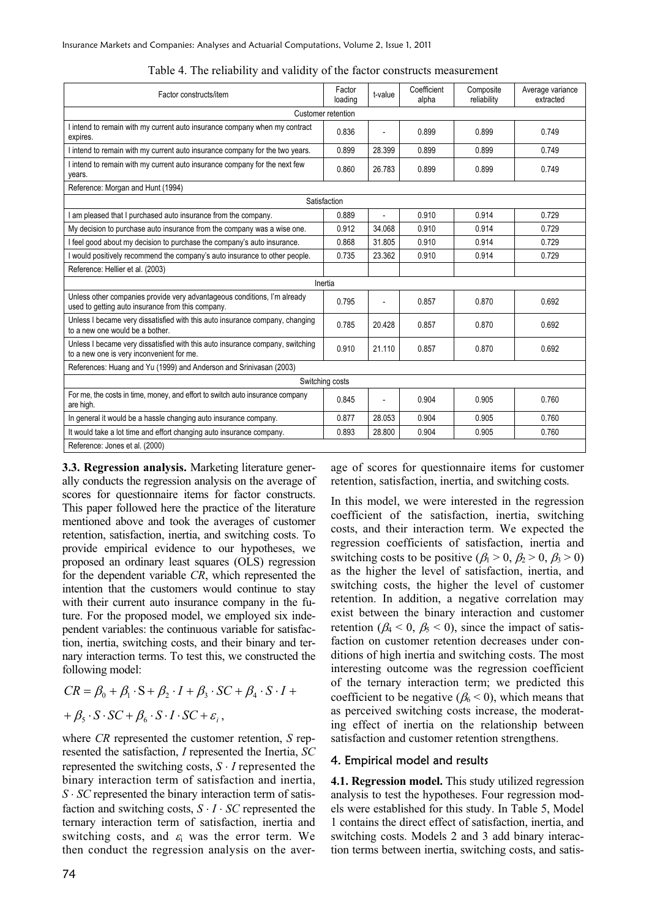| Factor constructs/item                                                                                                        | Factor<br>loading | t-value | Coefficient<br>alpha | Composite<br>reliability | Average variance<br>extracted |  |  |  |
|-------------------------------------------------------------------------------------------------------------------------------|-------------------|---------|----------------------|--------------------------|-------------------------------|--|--|--|
| Customer retention                                                                                                            |                   |         |                      |                          |                               |  |  |  |
| I intend to remain with my current auto insurance company when my contract<br>expires.                                        | 0.836             |         | 0.899                | 0.899                    | 0.749                         |  |  |  |
| I intend to remain with my current auto insurance company for the two years.                                                  | 0.899             | 28.399  | 0.899                | 0.899                    | 0.749                         |  |  |  |
| I intend to remain with my current auto insurance company for the next few<br>years.                                          | 0.860             | 26.783  | 0.899                | 0.899                    | 0.749                         |  |  |  |
| Reference: Morgan and Hunt (1994)                                                                                             |                   |         |                      |                          |                               |  |  |  |
|                                                                                                                               | Satisfaction      |         |                      |                          |                               |  |  |  |
| I am pleased that I purchased auto insurance from the company.                                                                | 0.889             |         | 0.910                | 0.914                    | 0.729                         |  |  |  |
| My decision to purchase auto insurance from the company was a wise one.                                                       | 0.912             | 34.068  | 0.910                | 0.914                    | 0.729                         |  |  |  |
| I feel good about my decision to purchase the company's auto insurance.                                                       | 0.868             | 31.805  | 0.910                | 0.914                    | 0.729                         |  |  |  |
| I would positively recommend the company's auto insurance to other people.                                                    | 0.735             | 23.362  | 0.910                | 0.914                    | 0.729                         |  |  |  |
| Reference: Hellier et al. (2003)                                                                                              |                   |         |                      |                          |                               |  |  |  |
| Inertia                                                                                                                       |                   |         |                      |                          |                               |  |  |  |
| Unless other companies provide very advantageous conditions, I'm already<br>used to getting auto insurance from this company. | 0.795             |         | 0.857                | 0.870                    | 0.692                         |  |  |  |
| Unless I became very dissatisfied with this auto insurance company, changing<br>to a new one would be a bother.               | 0.785             | 20.428  | 0.857                | 0.870                    | 0.692                         |  |  |  |
| Unless I became very dissatisfied with this auto insurance company, switching<br>to a new one is very inconvenient for me.    | 0.910             | 21.110  | 0.857                | 0.870                    | 0.692                         |  |  |  |
| References: Huang and Yu (1999) and Anderson and Srinivasan (2003)                                                            |                   |         |                      |                          |                               |  |  |  |
| Switching costs                                                                                                               |                   |         |                      |                          |                               |  |  |  |
| For me, the costs in time, money, and effort to switch auto insurance company<br>are high.                                    | 0.845             |         | 0.904                | 0.905                    | 0.760                         |  |  |  |
| In general it would be a hassle changing auto insurance company.                                                              | 0.877             | 28.053  | 0.904                | 0.905                    | 0.760                         |  |  |  |
| It would take a lot time and effort changing auto insurance company.                                                          | 0.893             | 28.800  | 0.904                | 0.905                    | 0.760                         |  |  |  |
| Reference: Jones et al. (2000)                                                                                                |                   |         |                      |                          |                               |  |  |  |

Table 4. The reliability and validity of the factor constructs measurement

**3.3. Regression analysis.** Marketing literature generally conducts the regression analysis on the average of scores for questionnaire items for factor constructs. This paper followed here the practice of the literature mentioned above and took the averages of customer retention, satisfaction, inertia, and switching costs. To provide empirical evidence to our hypotheses, we proposed an ordinary least squares (OLS) regression for the dependent variable *CR*, which represented the intention that the customers would continue to stay with their current auto insurance company in the future. For the proposed model, we employed six independent variables: the continuous variable for satisfaction, inertia, switching costs, and their binary and ternary interaction terms. To test this, we constructed the following model:

 $CR = \beta_0 + \beta_1 \cdot S + \beta_2 \cdot I + \beta_3 \cdot SC + \beta_4 \cdot S \cdot I +$  $+\beta_{5}\cdot S\cdot SC+\beta_{6}\cdot S\cdot I\cdot SC+\varepsilon_{i}$ 

where *CR* represented the customer retention, *S* represented the satisfaction, *I* represented the Inertia, *SC* represented the switching costs,  $S \cdot I$  represented the binary interaction term of satisfaction and inertia, *S SC* represented the binary interaction term of satisfaction and switching costs,  $S \cdot I \cdot SC$  represented the ternary interaction term of satisfaction, inertia and switching costs, and  $\varepsilon$ <sub>i</sub> was the error term. We then conduct the regression analysis on the aver-

age of scores for questionnaire items for customer retention, satisfaction, inertia, and switching costs.

In this model, we were interested in the regression coefficient of the satisfaction, inertia, switching costs, and their interaction term. We expected the regression coefficients of satisfaction, inertia and switching costs to be positive  $(\beta_1 > 0, \beta_2 > 0, \beta_3 > 0)$ as the higher the level of satisfaction, inertia, and switching costs, the higher the level of customer retention. In addition, a negative correlation may exist between the binary interaction and customer retention ( $\beta_4$  < 0,  $\beta_5$  < 0), since the impact of satisfaction on customer retention decreases under conditions of high inertia and switching costs. The most interesting outcome was the regression coefficient of the ternary interaction term; we predicted this coefficient to be negative ( $\beta_6 < 0$ ), which means that as perceived switching costs increase, the moderating effect of inertia on the relationship between satisfaction and customer retention strengthens.

#### 4. Empirical model and results

**4.1. Regression model.** This study utilized regression analysis to test the hypotheses. Four regression models were established for this study. In Table 5, Model 1 contains the direct effect of satisfaction, inertia, and switching costs. Models 2 and 3 add binary interaction terms between inertia, switching costs, and satis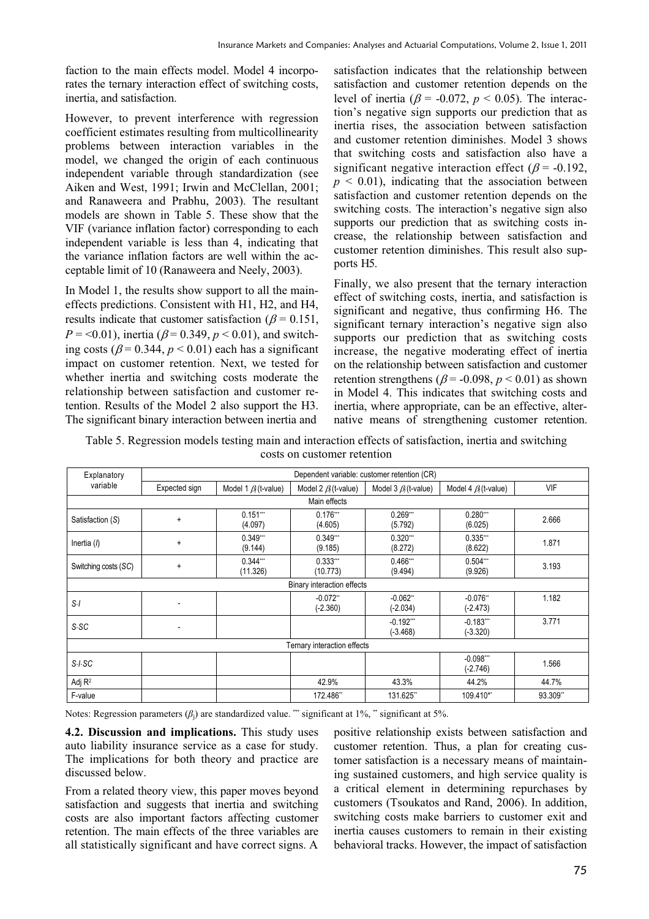faction to the main effects model. Model 4 incorporates the ternary interaction effect of switching costs, inertia, and satisfaction.

However, to prevent interference with regression coefficient estimates resulting from multicollinearity problems between interaction variables in the model, we changed the origin of each continuous independent variable through standardization (see Aiken and West, 1991; Irwin and McClellan, 2001; and Ranaweera and Prabhu, 2003). The resultant models are shown in Table 5. These show that the VIF (variance inflation factor) corresponding to each independent variable is less than 4, indicating that the variance inflation factors are well within the acceptable limit of 10 (Ranaweera and Neely, 2003).

In Model 1, the results show support to all the maineffects predictions. Consistent with H1, H2, and H4, results indicate that customer satisfaction ( $\beta$  = 0.151,  $P = 0.01$ , inertia ( $\beta = 0.349$ ,  $p < 0.01$ ), and switching costs ( $\beta$  = 0.344,  $p$  < 0.01) each has a significant impact on customer retention. Next, we tested for whether inertia and switching costs moderate the relationship between satisfaction and customer retention. Results of the Model 2 also support the H3. The significant binary interaction between inertia and

satisfaction indicates that the relationship between satisfaction and customer retention depends on the level of inertia ( $\beta$  = -0.072,  $p$  < 0.05). The interaction's negative sign supports our prediction that as inertia rises, the association between satisfaction and customer retention diminishes. Model 3 shows that switching costs and satisfaction also have a significant negative interaction effect ( $\beta$  = -0.192,  $p < 0.01$ ), indicating that the association between satisfaction and customer retention depends on the switching costs. The interaction's negative sign also supports our prediction that as switching costs increase, the relationship between satisfaction and customer retention diminishes. This result also supports H5.

Finally, we also present that the ternary interaction effect of switching costs, inertia, and satisfaction is significant and negative, thus confirming H6. The significant ternary interaction's negative sign also supports our prediction that as switching costs increase, the negative moderating effect of inertia on the relationship between satisfaction and customer retention strengthens ( $\beta$  = -0.098,  $p$  < 0.01) as shown in Model 4. This indicates that switching costs and inertia, where appropriate, can be an effective, alternative means of strengthening customer retention.

Table 5. Regression models testing main and interaction effects of satisfaction, inertia and switching costs on customer retention

| Explanatory                 | Dependent variable: customer retention (CR) |                             |                             |                           |                           |            |  |  |
|-----------------------------|---------------------------------------------|-----------------------------|-----------------------------|---------------------------|---------------------------|------------|--|--|
| variable<br>Expected sign   |                                             | Model 1 $\beta_i$ (t-value) | Model 2 $\beta_i$ (t-value) | Model 3 $\beta$ (t-value) | Model 4 $\beta$ (t-value) | <b>VIF</b> |  |  |
| Main effects                |                                             |                             |                             |                           |                           |            |  |  |
| Satisfaction (S)            | $\ddot{}$                                   | $0.151$ ***<br>(4.097)      | $0.176***$<br>(4.605)       | 0.269<br>(5.792)          | $0.280***$<br>(6.025)     | 2.666      |  |  |
| Inertia $($                 | $\ddot{}$                                   | $0.349***$<br>(9.144)       | $0.349***$<br>(9.185)       | 0.320<br>(8.272)          | $0.335***$<br>(8.622)     | 1.871      |  |  |
| Switching costs (SC)        | $\ddot{}$                                   | 0.344<br>(11.326)           | $0.333***$<br>(10.773)      | $0.466$ ***<br>(9.494)    | $0.504$ ***<br>(9.926)    | 3.193      |  |  |
|                             |                                             |                             | Binary interaction effects  |                           |                           |            |  |  |
| $S-I$                       |                                             |                             | $-0.072$ **<br>$(-2.360)$   | $-0.062"$<br>$(-2.034)$   | $-0.076$ **<br>$(-2.473)$ | 1.182      |  |  |
| $S-SC$                      |                                             |                             |                             | $-0.192$<br>$(-3.468)$    | $-0.183$<br>$(-3.320)$    | 3.771      |  |  |
| Ternary interaction effects |                                             |                             |                             |                           |                           |            |  |  |
| $S-I·SC$                    |                                             |                             |                             |                           | $-0.098***$<br>$(-2.746)$ | 1.566      |  |  |
| Adj R <sup>2</sup>          |                                             |                             | 42.9%                       | 43.3%                     | 44.2%                     | 44.7%      |  |  |
| F-value                     |                                             |                             | 172.486**                   | 131.625*                  | 109.410**                 | 93.309**   |  |  |

Notes: Regression parameters  $(\beta_j)$  are standardized value.  $\ddot{\text{m}}$  significant at 1%,  $\ddot{\text{m}}$  significant at 5%.

**4.2. Discussion and implications.** This study uses auto liability insurance service as a case for study. The implications for both theory and practice are discussed below.

From a related theory view, this paper moves beyond satisfaction and suggests that inertia and switching costs are also important factors affecting customer retention. The main effects of the three variables are all statistically significant and have correct signs. A positive relationship exists between satisfaction and customer retention. Thus, a plan for creating customer satisfaction is a necessary means of maintaining sustained customers, and high service quality is a critical element in determining repurchases by customers (Tsoukatos and Rand, 2006). In addition, switching costs make barriers to customer exit and inertia causes customers to remain in their existing behavioral tracks. However, the impact of satisfaction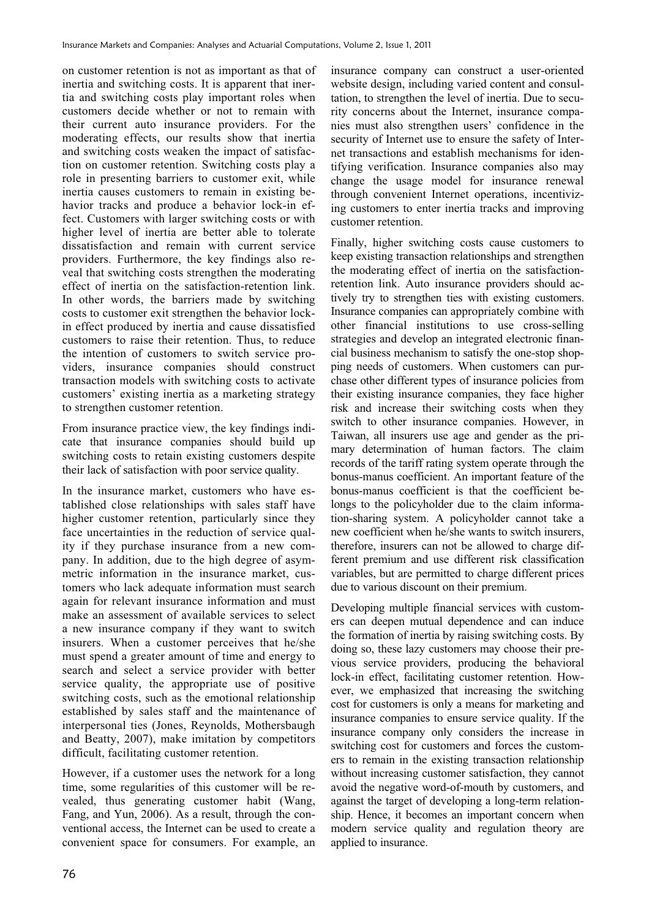on customer retention is not as important as that of inertia and switching costs. It is apparent that inertia and switching costs play important roles when customers decide whether or not to remain with their current auto insurance providers. For the moderating effects, our results show that inertia and switching costs weaken the impact of satisfaction on customer retention. Switching costs play a role in presenting barriers to customer exit, while inertia causes customers to remain in existing behavior tracks and produce a behavior lock-in effect. Customers with larger switching costs or with higher level of inertia are better able to tolerate dissatisfaction and remain with current service providers. Furthermore, the key findings also reveal that switching costs strengthen the moderating effect of inertia on the satisfaction-retention link. In other words, the barriers made by switching costs to customer exit strengthen the behavior lockin effect produced by inertia and cause dissatisfied customers to raise their retention. Thus, to reduce the intention of customers to switch service providers, insurance companies should construct transaction models with switching costs to activate customers' existing inertia as a marketing strategy to strengthen customer retention.

From insurance practice view, the key findings indicate that insurance companies should build up switching costs to retain existing customers despite their lack of satisfaction with poor service quality.

In the insurance market, customers who have established close relationships with sales staff have higher customer retention, particularly since they face uncertainties in the reduction of service quality if they purchase insurance from a new company. In addition, due to the high degree of asymmetric information in the insurance market, customers who lack adequate information must search again for relevant insurance information and must make an assessment of available services to select a new insurance company if they want to switch insurers. When a customer perceives that he/she must spend a greater amount of time and energy to search and select a service provider with better service quality, the appropriate use of positive switching costs, such as the emotional relationship established by sales staff and the maintenance of interpersonal ties (Jones, Reynolds, Mothersbaugh and Beatty, 2007), make imitation by competitors difficult, facilitating customer retention.

However, if a customer uses the network for a long time, some regularities of this customer will be revealed, thus generating customer habit (Wang, Fang, and Yun, 2006). As a result, through the conventional access, the Internet can be used to create a convenient space for consumers. For example, an insurance company can construct a user-oriented website design, including varied content and consultation, to strengthen the level of inertia. Due to security concerns about the Internet, insurance companies must also strengthen users' confidence in the security of Internet use to ensure the safety of Internet transactions and establish mechanisms for identifying verification. Insurance companies also may change the usage model for insurance renewal through convenient Internet operations, incentivizing customers to enter inertia tracks and improving customer retention.

Finally, higher switching costs cause customers to keep existing transaction relationships and strengthen the moderating effect of inertia on the satisfactionretention link. Auto insurance providers should actively try to strengthen ties with existing customers. Insurance companies can appropriately combine with other financial institutions to use cross-selling strategies and develop an integrated electronic financial business mechanism to satisfy the one-stop shopping needs of customers. When customers can purchase other different types of insurance policies from their existing insurance companies, they face higher risk and increase their switching costs when they switch to other insurance companies. However, in Taiwan, all insurers use age and gender as the primary determination of human factors. The claim records of the tariff rating system operate through the bonus-manus coefficient. An important feature of the bonus-manus coefficient is that the coefficient belongs to the policyholder due to the claim information-sharing system. A policyholder cannot take a new coefficient when he/she wants to switch insurers, therefore, insurers can not be allowed to charge different premium and use different risk classification variables, but are permitted to charge different prices due to various discount on their premium.

Developing multiple financial services with customers can deepen mutual dependence and can induce the formation of inertia by raising switching costs. By doing so, these lazy customers may choose their previous service providers, producing the behavioral lock-in effect, facilitating customer retention. However, we emphasized that increasing the switching cost for customers is only a means for marketing and insurance companies to ensure service quality. If the insurance company only considers the increase in switching cost for customers and forces the customers to remain in the existing transaction relationship without increasing customer satisfaction, they cannot avoid the negative word-of-mouth by customers, and against the target of developing a long-term relationship. Hence, it becomes an important concern when modern service quality and regulation theory are applied to insurance.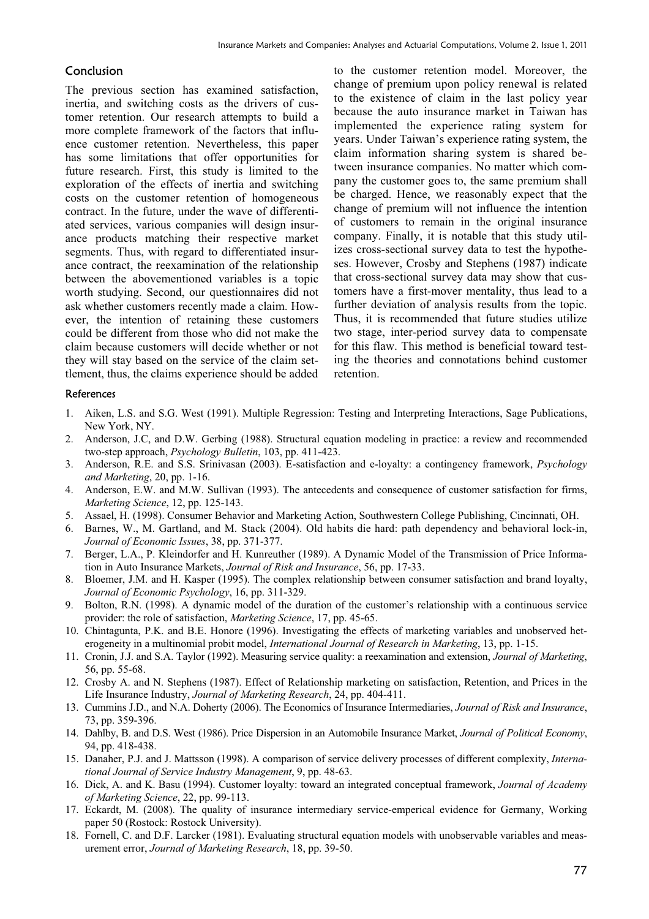## Conclusion

The previous section has examined satisfaction, inertia, and switching costs as the drivers of customer retention. Our research attempts to build a more complete framework of the factors that influence customer retention. Nevertheless, this paper has some limitations that offer opportunities for future research. First, this study is limited to the exploration of the effects of inertia and switching costs on the customer retention of homogeneous contract. In the future, under the wave of differentiated services, various companies will design insurance products matching their respective market segments. Thus, with regard to differentiated insurance contract, the reexamination of the relationship between the abovementioned variables is a topic worth studying. Second, our questionnaires did not ask whether customers recently made a claim. However, the intention of retaining these customers could be different from those who did not make the claim because customers will decide whether or not they will stay based on the service of the claim settlement, thus, the claims experience should be added to the customer retention model. Moreover, the change of premium upon policy renewal is related to the existence of claim in the last policy year because the auto insurance market in Taiwan has implemented the experience rating system for years. Under Taiwan's experience rating system, the claim information sharing system is shared between insurance companies. No matter which company the customer goes to, the same premium shall be charged. Hence, we reasonably expect that the change of premium will not influence the intention of customers to remain in the original insurance company. Finally, it is notable that this study utilizes cross-sectional survey data to test the hypotheses. However, Crosby and Stephens (1987) indicate that cross-sectional survey data may show that customers have a first-mover mentality, thus lead to a further deviation of analysis results from the topic. Thus, it is recommended that future studies utilize two stage, inter-period survey data to compensate for this flaw. This method is beneficial toward testing the theories and connotations behind customer retention.

#### References

- 1. Aiken, L.S. and S.G. West (1991). Multiple Regression: Testing and Interpreting Interactions, Sage Publications, New York, NY.
- 2. Anderson, J.C, and D.W. Gerbing (1988). Structural equation modeling in practice: a review and recommended two-step approach, *Psychology Bulletin*, 103, pp. 411-423.
- 3. Anderson, R.E. and S.S. Srinivasan (2003). E-satisfaction and e-loyalty: a contingency framework, *Psychology and Marketing*, 20, pp. 1-16.
- 4. Anderson, E.W. and M.W. Sullivan (1993). The antecedents and consequence of customer satisfaction for firms, *Marketing Science*, 12, pp. 125-143.
- 5. Assael, H. (1998). Consumer Behavior and Marketing Action, Southwestern College Publishing, Cincinnati, OH.
- 6. Barnes, W., M. Gartland, and M. Stack (2004). Old habits die hard: path dependency and behavioral lock-in, *Journal of Economic Issues*, 38, pp. 371-377.
- 7. Berger, L.A., P. Kleindorfer and H. Kunreuther (1989). A Dynamic Model of the Transmission of Price Information in Auto Insurance Markets, *Journal of Risk and Insurance*, 56, pp. 17-33.
- 8. Bloemer, J.M. and H. Kasper (1995). The complex relationship between consumer satisfaction and brand loyalty, *Journal of Economic Psychology*, 16, pp. 311-329.
- 9. Bolton, R.N. (1998). A dynamic model of the duration of the customer's relationship with a continuous service provider: the role of satisfaction, *Marketing Science*, 17, pp. 45-65.
- 10. Chintagunta, P.K. and B.E. Honore (1996). Investigating the effects of marketing variables and unobserved heterogeneity in a multinomial probit model, *International Journal of Research in Marketing*, 13, pp. 1-15.
- 11. Cronin, J.J. and S.A. Taylor (1992). Measuring service quality: a reexamination and extension, *Journal of Marketing*, 56, pp. 55-68.
- 12. Crosby A. and N. Stephens (1987). Effect of Relationship marketing on satisfaction, Retention, and Prices in the Life Insurance Industry, *Journal of Marketing Research*, 24, pp. 404-411.
- 13. Cummins J.D., and N.A. Doherty (2006). The Economics of Insurance Intermediaries, *Journal of Risk and Insurance*, 73, pp. 359-396.
- 14. Dahlby, B. and D.S. West (1986). Price Dispersion in an Automobile Insurance Market, *Journal of Political Economy*, 94, pp. 418-438.
- 15. Danaher, P.J. and J. Mattsson (1998). A comparison of service delivery processes of different complexity, *International Journal of Service Industry Management*, 9, pp. 48-63.
- 16. Dick, A. and K. Basu (1994). Customer loyalty: toward an integrated conceptual framework, *Journal of Academy of Marketing Science*, 22, pp. 99-113.
- 17. Eckardt, M. (2008). The quality of insurance intermediary service-emperical evidence for Germany, Working paper 50 (Rostock: Rostock University).
- 18. Fornell, C. and D.F. Larcker (1981). Evaluating structural equation models with unobservable variables and measurement error, *Journal of Marketing Research*, 18, pp. 39-50.